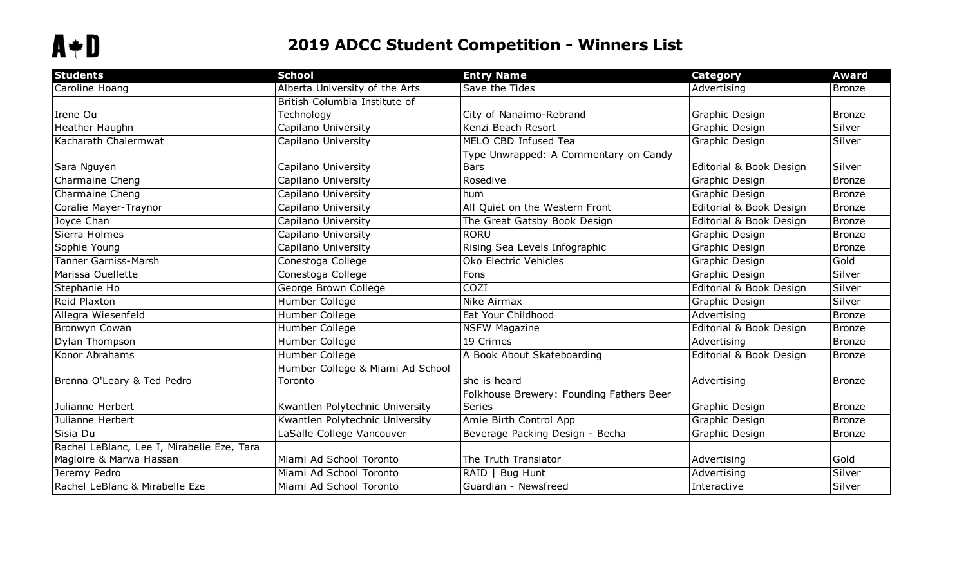## **2019 ADCC Student Competition - Winners List**

| <b>Students</b>                            | <b>School</b>                    | <b>Entry Name</b>                        | <b>Category</b>         | <b>Award</b>  |
|--------------------------------------------|----------------------------------|------------------------------------------|-------------------------|---------------|
| Caroline Hoang                             | Alberta University of the Arts   | Save the Tides                           | Advertising             | Bronze        |
|                                            | British Columbia Institute of    |                                          |                         |               |
| Irene Ou                                   | Technology                       | City of Nanaimo-Rebrand                  | Graphic Design          | <b>Bronze</b> |
| Heather Haughn                             | Capilano University              | Kenzi Beach Resort                       | Graphic Design          | Silver        |
| Kacharath Chalermwat                       | Capilano University              | MELO CBD Infused Tea                     | Graphic Design          | Silver        |
|                                            |                                  | Type Unwrapped: A Commentary on Candy    |                         |               |
| Sara Nguyen                                | Capilano University              | <b>Bars</b>                              | Editorial & Book Design | Silver        |
| Charmaine Cheng                            | Capilano University              | Rosedive                                 | <b>Graphic Design</b>   | Bronze        |
| Charmaine Cheng                            | Capilano University              | hum                                      | Graphic Design          | <b>Bronze</b> |
| Coralie Mayer-Traynor                      | Capilano University              | All Quiet on the Western Front           | Editorial & Book Design | Bronze        |
| Joyce Chan                                 | Capilano University              | The Great Gatsby Book Design             | Editorial & Book Design | <b>Bronze</b> |
| Sierra Holmes                              | Capilano University              | <b>RORU</b>                              | Graphic Design          | Bronze        |
| Sophie Young                               | Capilano University              | Rising Sea Levels Infographic            | Graphic Design          | Bronze        |
| <b>Tanner Garniss-Marsh</b>                | Conestoga College                | Oko Electric Vehicles                    | Graphic Design          | Gold          |
| Marissa Ouellette                          | Conestoga College                | Fons                                     | Graphic Design          | Silver        |
| Stephanie Ho                               | George Brown College             | <b>COZI</b>                              | Editorial & Book Design | Silver        |
| Reid Plaxton                               | Humber College                   | Nike Airmax                              | Graphic Design          | Silver        |
| Allegra Wiesenfeld                         | Humber College                   | Eat Your Childhood                       | Advertising             | <b>Bronze</b> |
| <b>Bronwyn Cowan</b>                       | Humber College                   | <b>NSFW Magazine</b>                     | Editorial & Book Design | Bronze        |
| Dylan Thompson                             | Humber College                   | 19 Crimes                                | Advertising             | Bronze        |
| Konor Abrahams                             | Humber College                   | A Book About Skateboarding               | Editorial & Book Design | Bronze        |
|                                            | Humber College & Miami Ad School |                                          |                         |               |
| Brenna O'Leary & Ted Pedro                 | Toronto                          | she is heard                             | Advertising             | <b>Bronze</b> |
|                                            |                                  | Folkhouse Brewery: Founding Fathers Beer |                         |               |
| Julianne Herbert                           | Kwantlen Polytechnic University  | <b>Series</b>                            | Graphic Design          | <b>Bronze</b> |
| Julianne Herbert                           | Kwantlen Polytechnic University  | Amie Birth Control App                   | Graphic Design          | Bronze        |
| Sisia Du                                   | LaSalle College Vancouver        | Beverage Packing Design - Becha          | Graphic Design          | Bronze        |
| Rachel LeBlanc, Lee I, Mirabelle Eze, Tara |                                  |                                          |                         |               |
| Magloire & Marwa Hassan                    | Miami Ad School Toronto          | The Truth Translator                     | Advertising             | Gold          |
| Jeremy Pedro                               | Miami Ad School Toronto          | RAID   Bug Hunt                          | Advertising             | Silver        |
| Rachel LeBlanc & Mirabelle Eze             | Miami Ad School Toronto          | Guardian - Newsfreed                     | Interactive             | Silver        |